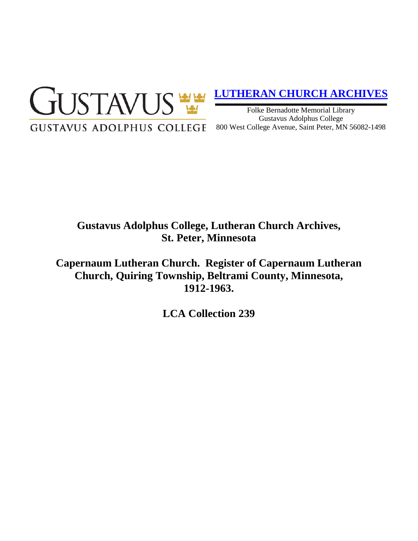

# **[LUTHERAN CHURCH ARCHIVES](http://gustavus.edu/academics/library/archives/)**

Folke Bernadotte Memorial Library Gustavus Adolphus College 800 West College Avenue, Saint Peter, MN 56082-1498

# **Gustavus Adolphus College, Lutheran Church Archives, St. Peter, Minnesota**

**Capernaum Lutheran Church. Register of Capernaum Lutheran Church, Quiring Township, Beltrami County, Minnesota, 1912-1963.**

**LCA Collection 239**